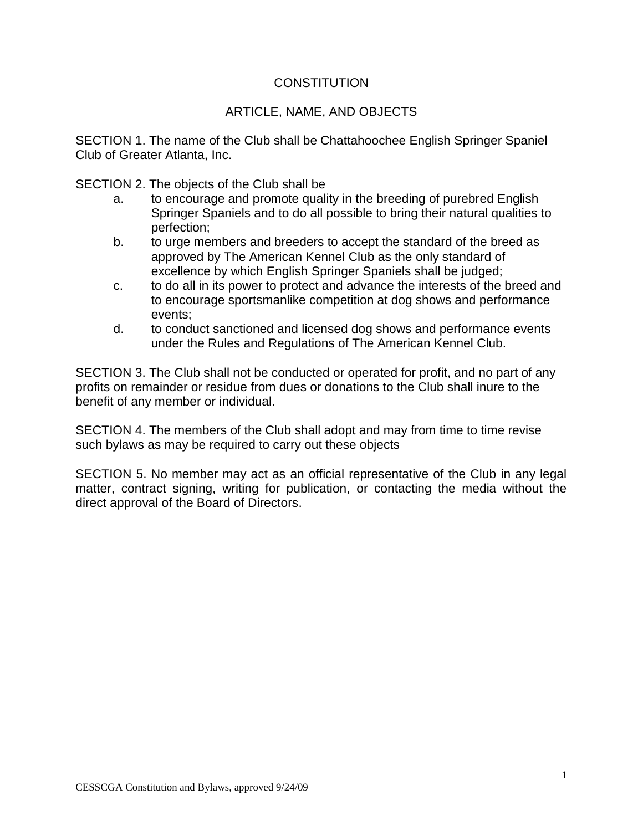### **CONSTITUTION**

### ARTICLE, NAME, AND OBJECTS

SECTION 1. The name of the Club shall be Chattahoochee English Springer Spaniel Club of Greater Atlanta, Inc.

SECTION 2. The objects of the Club shall be

- a. to encourage and promote quality in the breeding of purebred English Springer Spaniels and to do all possible to bring their natural qualities to perfection;
- b. to urge members and breeders to accept the standard of the breed as approved by The American Kennel Club as the only standard of excellence by which English Springer Spaniels shall be judged;
- c. to do all in its power to protect and advance the interests of the breed and to encourage sportsmanlike competition at dog shows and performance events;
- d. to conduct sanctioned and licensed dog shows and performance events under the Rules and Regulations of The American Kennel Club.

SECTION 3. The Club shall not be conducted or operated for profit, and no part of any profits on remainder or residue from dues or donations to the Club shall inure to the benefit of any member or individual.

SECTION 4. The members of the Club shall adopt and may from time to time revise such bylaws as may be required to carry out these objects

SECTION 5. No member may act as an official representative of the Club in any legal matter, contract signing, writing for publication, or contacting the media without the direct approval of the Board of Directors.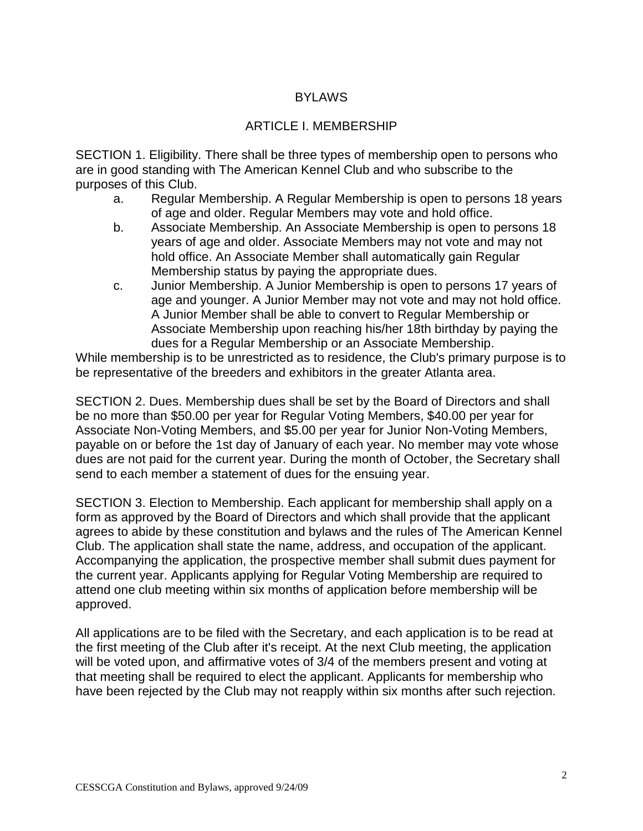# **BYLAWS**

## ARTICLE I. MEMBERSHIP

SECTION 1. Eligibility. There shall be three types of membership open to persons who are in good standing with The American Kennel Club and who subscribe to the purposes of this Club.

- a. Regular Membership. A Regular Membership is open to persons 18 years of age and older. Regular Members may vote and hold office.
- b. Associate Membership. An Associate Membership is open to persons 18 years of age and older. Associate Members may not vote and may not hold office. An Associate Member shall automatically gain Regular Membership status by paying the appropriate dues.
- c. Junior Membership. A Junior Membership is open to persons 17 years of age and younger. A Junior Member may not vote and may not hold office. A Junior Member shall be able to convert to Regular Membership or Associate Membership upon reaching his/her 18th birthday by paying the dues for a Regular Membership or an Associate Membership.

While membership is to be unrestricted as to residence, the Club's primary purpose is to be representative of the breeders and exhibitors in the greater Atlanta area.

SECTION 2. Dues. Membership dues shall be set by the Board of Directors and shall be no more than \$50.00 per year for Regular Voting Members, \$40.00 per year for Associate Non-Voting Members, and \$5.00 per year for Junior Non-Voting Members, payable on or before the 1st day of January of each year. No member may vote whose dues are not paid for the current year. During the month of October, the Secretary shall send to each member a statement of dues for the ensuing year.

SECTION 3. Election to Membership. Each applicant for membership shall apply on a form as approved by the Board of Directors and which shall provide that the applicant agrees to abide by these constitution and bylaws and the rules of The American Kennel Club. The application shall state the name, address, and occupation of the applicant. Accompanying the application, the prospective member shall submit dues payment for the current year. Applicants applying for Regular Voting Membership are required to attend one club meeting within six months of application before membership will be approved.

All applications are to be filed with the Secretary, and each application is to be read at the first meeting of the Club after it's receipt. At the next Club meeting, the application will be voted upon, and affirmative votes of 3/4 of the members present and voting at that meeting shall be required to elect the applicant. Applicants for membership who have been rejected by the Club may not reapply within six months after such rejection.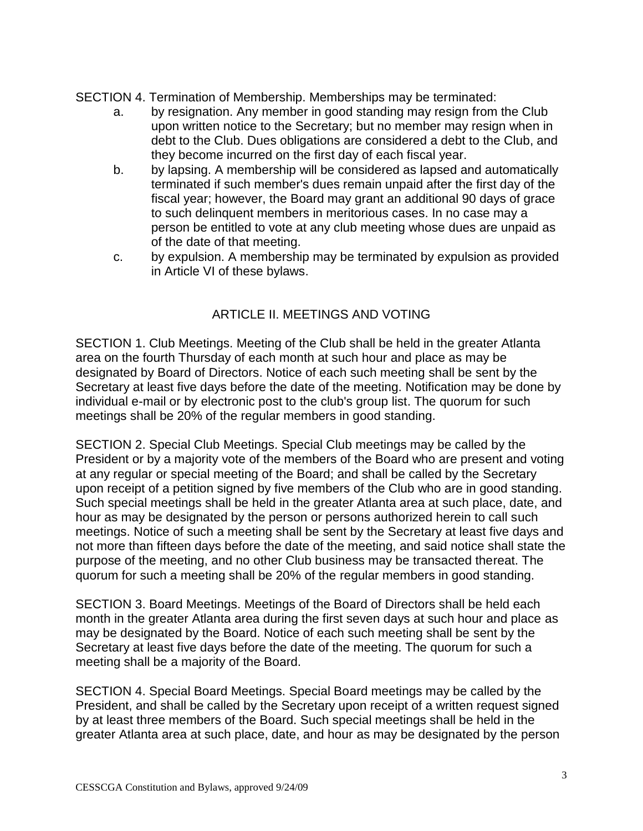SECTION 4. Termination of Membership. Memberships may be terminated:

- a. by resignation. Any member in good standing may resign from the Club upon written notice to the Secretary; but no member may resign when in debt to the Club. Dues obligations are considered a debt to the Club, and they become incurred on the first day of each fiscal year.
- b. by lapsing. A membership will be considered as lapsed and automatically terminated if such member's dues remain unpaid after the first day of the fiscal year; however, the Board may grant an additional 90 days of grace to such delinquent members in meritorious cases. In no case may a person be entitled to vote at any club meeting whose dues are unpaid as of the date of that meeting.
- c. by expulsion. A membership may be terminated by expulsion as provided in Article VI of these bylaws.

# ARTICLE II. MEETINGS AND VOTING

SECTION 1. Club Meetings. Meeting of the Club shall be held in the greater Atlanta area on the fourth Thursday of each month at such hour and place as may be designated by Board of Directors. Notice of each such meeting shall be sent by the Secretary at least five days before the date of the meeting. Notification may be done by individual e-mail or by electronic post to the club's group list. The quorum for such meetings shall be 20% of the regular members in good standing.

SECTION 2. Special Club Meetings. Special Club meetings may be called by the President or by a majority vote of the members of the Board who are present and voting at any regular or special meeting of the Board; and shall be called by the Secretary upon receipt of a petition signed by five members of the Club who are in good standing. Such special meetings shall be held in the greater Atlanta area at such place, date, and hour as may be designated by the person or persons authorized herein to call such meetings. Notice of such a meeting shall be sent by the Secretary at least five days and not more than fifteen days before the date of the meeting, and said notice shall state the purpose of the meeting, and no other Club business may be transacted thereat. The quorum for such a meeting shall be 20% of the regular members in good standing.

SECTION 3. Board Meetings. Meetings of the Board of Directors shall be held each month in the greater Atlanta area during the first seven days at such hour and place as may be designated by the Board. Notice of each such meeting shall be sent by the Secretary at least five days before the date of the meeting. The quorum for such a meeting shall be a majority of the Board.

SECTION 4. Special Board Meetings. Special Board meetings may be called by the President, and shall be called by the Secretary upon receipt of a written request signed by at least three members of the Board. Such special meetings shall be held in the greater Atlanta area at such place, date, and hour as may be designated by the person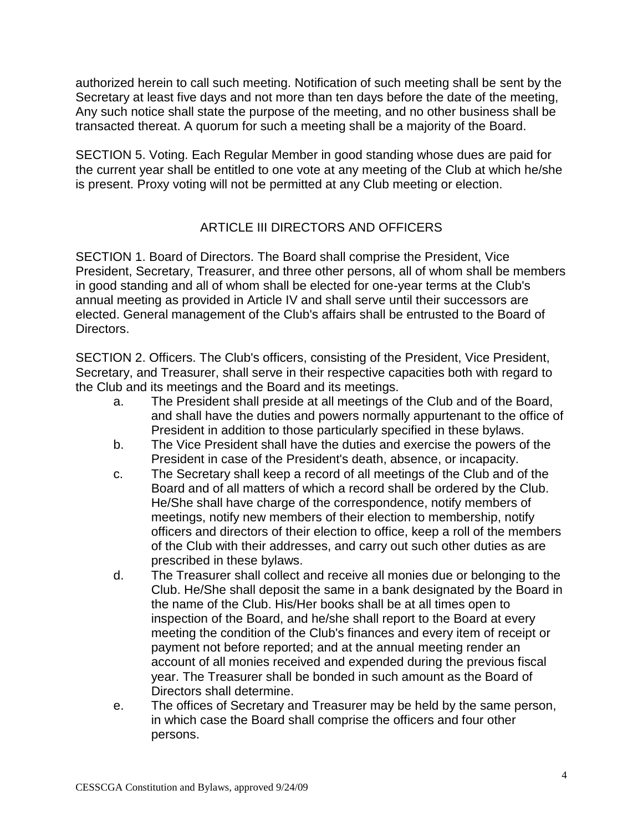authorized herein to call such meeting. Notification of such meeting shall be sent by the Secretary at least five days and not more than ten days before the date of the meeting, Any such notice shall state the purpose of the meeting, and no other business shall be transacted thereat. A quorum for such a meeting shall be a majority of the Board.

SECTION 5. Voting. Each Regular Member in good standing whose dues are paid for the current year shall be entitled to one vote at any meeting of the Club at which he/she is present. Proxy voting will not be permitted at any Club meeting or election.

# ARTICLE III DIRECTORS AND OFFICERS

SECTION 1. Board of Directors. The Board shall comprise the President, Vice President, Secretary, Treasurer, and three other persons, all of whom shall be members in good standing and all of whom shall be elected for one-year terms at the Club's annual meeting as provided in Article IV and shall serve until their successors are elected. General management of the Club's affairs shall be entrusted to the Board of Directors.

SECTION 2. Officers. The Club's officers, consisting of the President, Vice President, Secretary, and Treasurer, shall serve in their respective capacities both with regard to the Club and its meetings and the Board and its meetings.

- a. The President shall preside at all meetings of the Club and of the Board, and shall have the duties and powers normally appurtenant to the office of President in addition to those particularly specified in these bylaws.
- b. The Vice President shall have the duties and exercise the powers of the President in case of the President's death, absence, or incapacity.
- c. The Secretary shall keep a record of all meetings of the Club and of the Board and of all matters of which a record shall be ordered by the Club. He/She shall have charge of the correspondence, notify members of meetings, notify new members of their election to membership, notify officers and directors of their election to office, keep a roll of the members of the Club with their addresses, and carry out such other duties as are prescribed in these bylaws.
- d. The Treasurer shall collect and receive all monies due or belonging to the Club. He/She shall deposit the same in a bank designated by the Board in the name of the Club. His/Her books shall be at all times open to inspection of the Board, and he/she shall report to the Board at every meeting the condition of the Club's finances and every item of receipt or payment not before reported; and at the annual meeting render an account of all monies received and expended during the previous fiscal year. The Treasurer shall be bonded in such amount as the Board of Directors shall determine.
- e. The offices of Secretary and Treasurer may be held by the same person, in which case the Board shall comprise the officers and four other persons.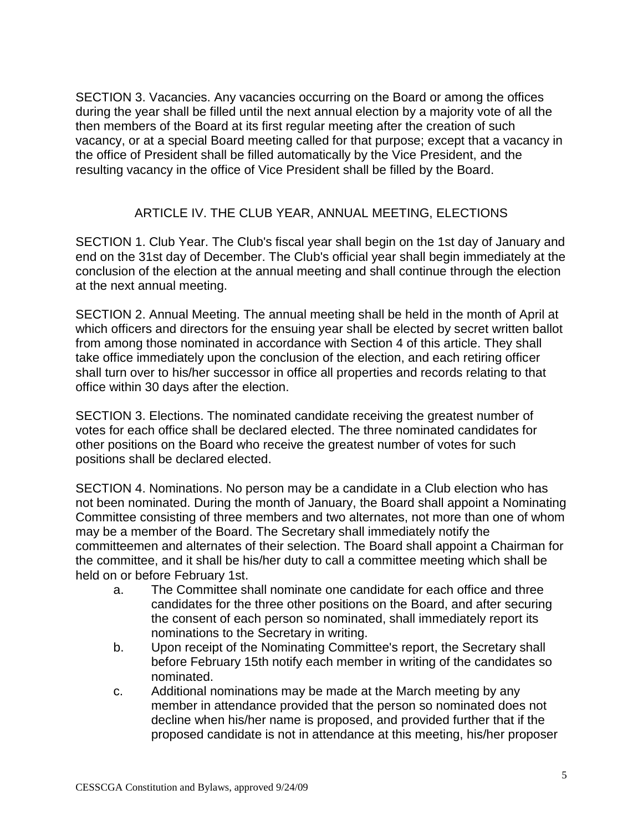SECTION 3. Vacancies. Any vacancies occurring on the Board or among the offices during the year shall be filled until the next annual election by a majority vote of all the then members of the Board at its first regular meeting after the creation of such vacancy, or at a special Board meeting called for that purpose; except that a vacancy in the office of President shall be filled automatically by the Vice President, and the resulting vacancy in the office of Vice President shall be filled by the Board.

### ARTICLE IV. THE CLUB YEAR, ANNUAL MEETING, ELECTIONS

SECTION 1. Club Year. The Club's fiscal year shall begin on the 1st day of January and end on the 31st day of December. The Club's official year shall begin immediately at the conclusion of the election at the annual meeting and shall continue through the election at the next annual meeting.

SECTION 2. Annual Meeting. The annual meeting shall be held in the month of April at which officers and directors for the ensuing year shall be elected by secret written ballot from among those nominated in accordance with Section 4 of this article. They shall take office immediately upon the conclusion of the election, and each retiring officer shall turn over to his/her successor in office all properties and records relating to that office within 30 days after the election.

SECTION 3. Elections. The nominated candidate receiving the greatest number of votes for each office shall be declared elected. The three nominated candidates for other positions on the Board who receive the greatest number of votes for such positions shall be declared elected.

SECTION 4. Nominations. No person may be a candidate in a Club election who has not been nominated. During the month of January, the Board shall appoint a Nominating Committee consisting of three members and two alternates, not more than one of whom may be a member of the Board. The Secretary shall immediately notify the committeemen and alternates of their selection. The Board shall appoint a Chairman for the committee, and it shall be his/her duty to call a committee meeting which shall be held on or before February 1st.

- a. The Committee shall nominate one candidate for each office and three candidates for the three other positions on the Board, and after securing the consent of each person so nominated, shall immediately report its nominations to the Secretary in writing.
- b. Upon receipt of the Nominating Committee's report, the Secretary shall before February 15th notify each member in writing of the candidates so nominated.
- c. Additional nominations may be made at the March meeting by any member in attendance provided that the person so nominated does not decline when his/her name is proposed, and provided further that if the proposed candidate is not in attendance at this meeting, his/her proposer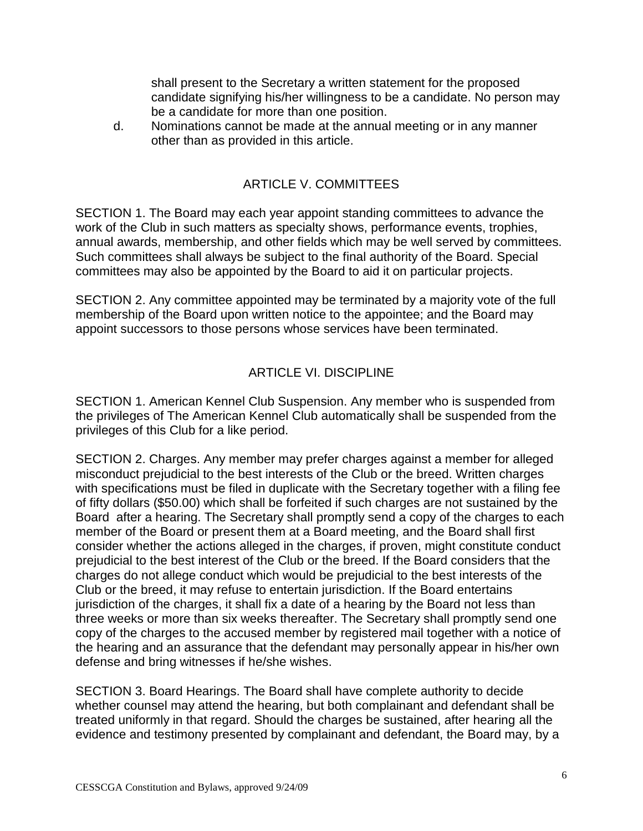shall present to the Secretary a written statement for the proposed candidate signifying his/her willingness to be a candidate. No person may be a candidate for more than one position.

d. Nominations cannot be made at the annual meeting or in any manner other than as provided in this article.

# ARTICLE V. COMMITTEES

SECTION 1. The Board may each year appoint standing committees to advance the work of the Club in such matters as specialty shows, performance events, trophies, annual awards, membership, and other fields which may be well served by committees. Such committees shall always be subject to the final authority of the Board. Special committees may also be appointed by the Board to aid it on particular projects.

SECTION 2. Any committee appointed may be terminated by a majority vote of the full membership of the Board upon written notice to the appointee; and the Board may appoint successors to those persons whose services have been terminated.

## ARTICLE VI. DISCIPLINE

SECTION 1. American Kennel Club Suspension. Any member who is suspended from the privileges of The American Kennel Club automatically shall be suspended from the privileges of this Club for a like period.

SECTION 2. Charges. Any member may prefer charges against a member for alleged misconduct prejudicial to the best interests of the Club or the breed. Written charges with specifications must be filed in duplicate with the Secretary together with a filing fee of fifty dollars (\$50.00) which shall be forfeited if such charges are not sustained by the Board after a hearing. The Secretary shall promptly send a copy of the charges to each member of the Board or present them at a Board meeting, and the Board shall first consider whether the actions alleged in the charges, if proven, might constitute conduct prejudicial to the best interest of the Club or the breed. If the Board considers that the charges do not allege conduct which would be prejudicial to the best interests of the Club or the breed, it may refuse to entertain jurisdiction. If the Board entertains jurisdiction of the charges, it shall fix a date of a hearing by the Board not less than three weeks or more than six weeks thereafter. The Secretary shall promptly send one copy of the charges to the accused member by registered mail together with a notice of the hearing and an assurance that the defendant may personally appear in his/her own defense and bring witnesses if he/she wishes.

SECTION 3. Board Hearings. The Board shall have complete authority to decide whether counsel may attend the hearing, but both complainant and defendant shall be treated uniformly in that regard. Should the charges be sustained, after hearing all the evidence and testimony presented by complainant and defendant, the Board may, by a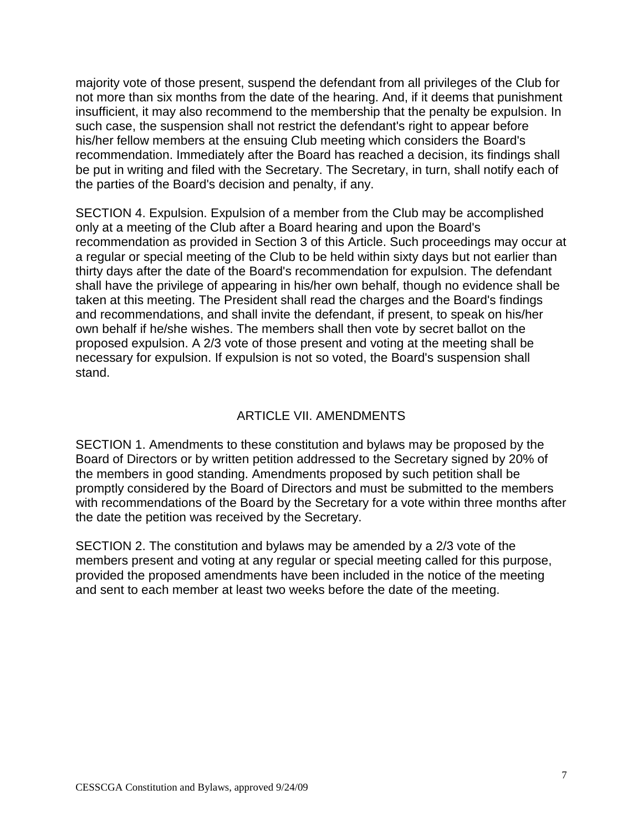majority vote of those present, suspend the defendant from all privileges of the Club for not more than six months from the date of the hearing. And, if it deems that punishment insufficient, it may also recommend to the membership that the penalty be expulsion. In such case, the suspension shall not restrict the defendant's right to appear before his/her fellow members at the ensuing Club meeting which considers the Board's recommendation. Immediately after the Board has reached a decision, its findings shall be put in writing and filed with the Secretary. The Secretary, in turn, shall notify each of the parties of the Board's decision and penalty, if any.

SECTION 4. Expulsion. Expulsion of a member from the Club may be accomplished only at a meeting of the Club after a Board hearing and upon the Board's recommendation as provided in Section 3 of this Article. Such proceedings may occur at a regular or special meeting of the Club to be held within sixty days but not earlier than thirty days after the date of the Board's recommendation for expulsion. The defendant shall have the privilege of appearing in his/her own behalf, though no evidence shall be taken at this meeting. The President shall read the charges and the Board's findings and recommendations, and shall invite the defendant, if present, to speak on his/her own behalf if he/she wishes. The members shall then vote by secret ballot on the proposed expulsion. A 2/3 vote of those present and voting at the meeting shall be necessary for expulsion. If expulsion is not so voted, the Board's suspension shall stand.

### ARTICLE VII. AMENDMENTS

SECTION 1. Amendments to these constitution and bylaws may be proposed by the Board of Directors or by written petition addressed to the Secretary signed by 20% of the members in good standing. Amendments proposed by such petition shall be promptly considered by the Board of Directors and must be submitted to the members with recommendations of the Board by the Secretary for a vote within three months after the date the petition was received by the Secretary.

SECTION 2. The constitution and bylaws may be amended by a 2/3 vote of the members present and voting at any regular or special meeting called for this purpose, provided the proposed amendments have been included in the notice of the meeting and sent to each member at least two weeks before the date of the meeting.